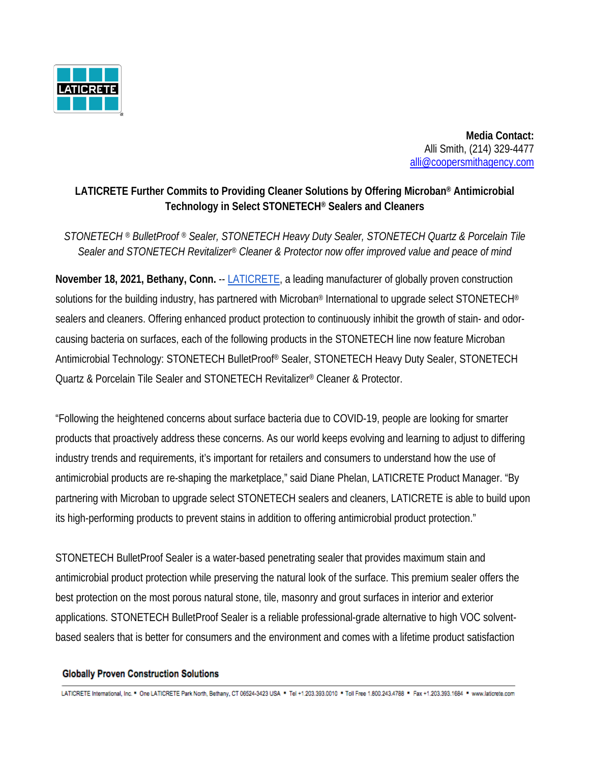

 **Media Contact:** Alli Smith, (214) 329-4477 all[i@coopersmithagency.com](mailto:john@coopersmithagency.com)

## **LATICRETE Further Commits to Providing Cleaner Solutions by Offering Microban® Antimicrobial Technology in Select STONETECH® Sealers and Cleaners**

*STONETECH ® BulletProof ® Sealer, STONETECH Heavy Duty Sealer, STONETECH Quartz & Porcelain Tile Sealer and STONETECH Revitalizer® Cleaner & Protector now offer improved value and peace of mind*

**November 18, 2021, Bethany, Conn.** -- [LATICRETE,](https://laticrete.com/) a leading manufacturer of globally proven construction solutions for the building industry, has partnered with Microban<sup>®</sup> International to upgrade select STONETECH<sup>®</sup> sealers and cleaners. Offering enhanced product protection to continuously inhibit the growth of stain- and odorcausing bacteria on surfaces, each of the following products in the STONETECH line now feature Microban Antimicrobial Technology: STONETECH BulletProof® Sealer, STONETECH Heavy Duty Sealer, STONETECH Quartz & Porcelain Tile Sealer and STONETECH Revitalizer® Cleaner & Protector.

"Following the heightened concerns about surface bacteria due to COVID-19, people are looking for smarter products that proactively address these concerns. As our world keeps evolving and learning to adjust to differing industry trends and requirements, it's important for retailers and consumers to understand how the use of antimicrobial products are re-shaping the marketplace," said Diane Phelan, LATICRETE Product Manager. "By partnering with Microban to upgrade select STONETECH sealers and cleaners, LATICRETE is able to build upon its high-performing products to prevent stains in addition to offering antimicrobial product protection."

STONETECH BulletProof Sealer is a water-based penetrating sealer that provides maximum stain and antimicrobial product protection while preserving the natural look of the surface. This premium sealer offers the best protection on the most porous natural stone, tile, masonry and grout surfaces in interior and exterior applications. STONETECH BulletProof Sealer is a reliable professional-grade alternative to high VOC solventbased sealers that is better for consumers and the environment and comes with a lifetime product satisfaction

## **Globally Proven Construction Solutions**

LATICRETE International, Inc. \* One LATICRETE Park North, Bethany, CT 06524-3423 USA \* Tel +1.203.393.0010 \* Toll Free 1.800.243.4788 \* Fax +1.203.393.1684 \* www.laticrete.com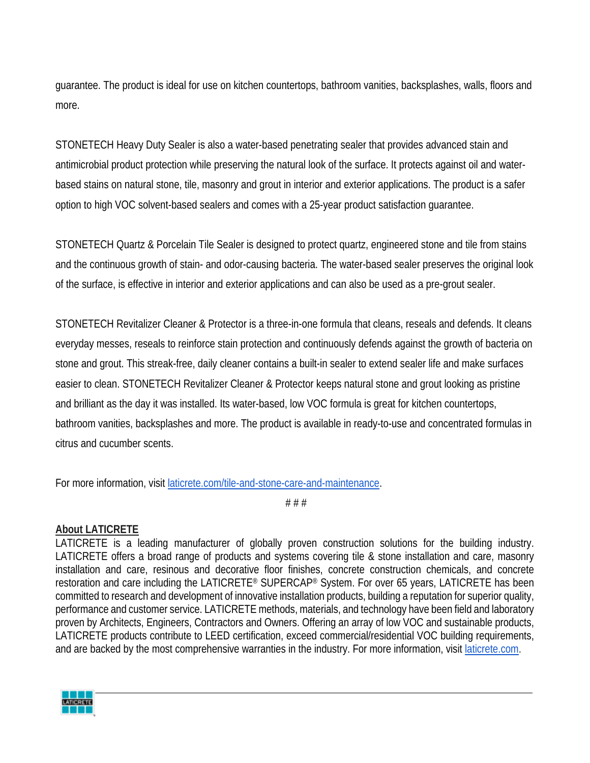guarantee. The product is ideal for use on kitchen countertops, bathroom vanities, backsplashes, walls, floors and more.

STONETECH Heavy Duty Sealer is also a water-based penetrating sealer that provides advanced stain and antimicrobial product protection while preserving the natural look of the surface. It protects against oil and waterbased stains on natural stone, tile, masonry and grout in interior and exterior applications. The product is a safer option to high VOC solvent-based sealers and comes with a 25-year product satisfaction guarantee.

STONETECH Quartz & Porcelain Tile Sealer is designed to protect quartz, engineered stone and tile from stains and the continuous growth of stain- and odor-causing bacteria. The water-based sealer preserves the original look of the surface, is effective in interior and exterior applications and can also be used as a pre-grout sealer.

STONETECH Revitalizer Cleaner & Protector is a three-in-one formula that cleans, reseals and defends. It cleans everyday messes, reseals to reinforce stain protection and continuously defends against the growth of bacteria on stone and grout. This streak-free, daily cleaner contains a built-in sealer to extend sealer life and make surfaces easier to clean. STONETECH Revitalizer Cleaner & Protector keeps natural stone and grout looking as pristine and brilliant as the day it was installed. Its water-based, low VOC formula is great for kitchen countertops, bathroom vanities, backsplashes and more. The product is available in ready-to-use and concentrated formulas in citrus and cucumber scents.

For more information, visit [laticrete.com/tile-and-stone-care-and-maintenance.](https://laticrete.com/tile-and-stone-care-and-maintenance)

# # #

## **About LATICRETE**

LATICRETE is a leading manufacturer of globally proven construction solutions for the building industry. LATICRETE offers a broad range of products and systems covering tile & stone installation and care, masonry installation and care, resinous and decorative floor finishes, concrete construction chemicals, and concrete restoration and care including the LATICRETE® SUPERCAP® System. For over 65 years, LATICRETE has been committed to research and development of innovative installation products, building a reputation for superior quality, performance and customer service. LATICRETE methods, materials, and technology have been field and laboratory proven by Architects, Engineers, Contractors and Owners. Offering an array of low VOC and sustainable products, LATICRETE products contribute to LEED certification, exceed commercial/residential VOC building requirements, and are backed by the most comprehensive warranties in the industry. For more information, visit [laticrete.com.](https://laticrete.com/)